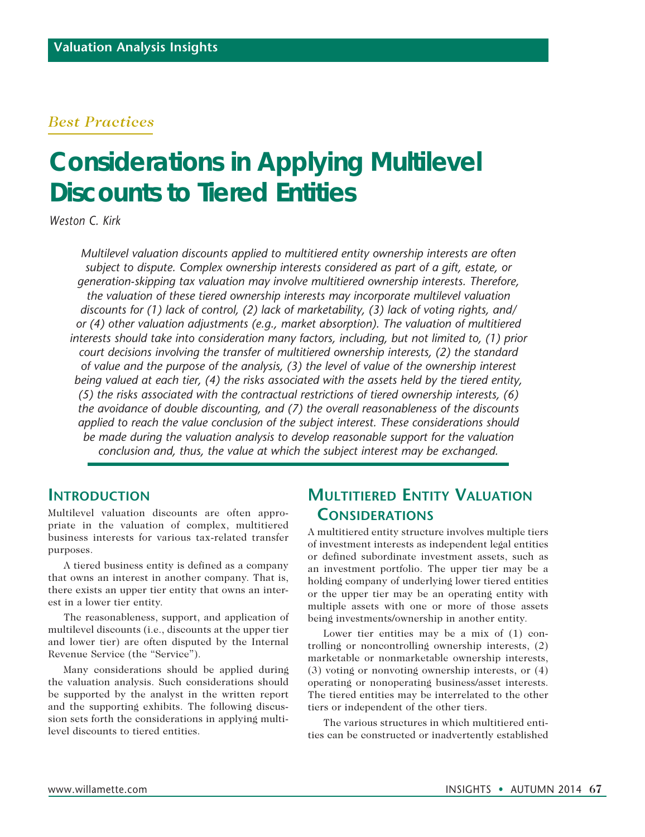#### *Best Practices*

# **Considerations in Applying Multilevel Discounts to Tiered Entities**

*Weston C. Kirk*

*Multilevel valuation discounts applied to multitiered entity ownership interests are often subject to dispute. Complex ownership interests considered as part of a gift, estate, or generation-skipping tax valuation may involve multitiered ownership interests. Therefore, the valuation of these tiered ownership interests may incorporate multilevel valuation discounts for (1) lack of control, (2) lack of marketability, (3) lack of voting rights, and/ or (4) other valuation adjustments (e.g., market absorption). The valuation of multitiered interests should take into consideration many factors, including, but not limited to, (1) prior court decisions involving the transfer of multitiered ownership interests, (2) the standard of value and the purpose of the analysis, (3) the level of value of the ownership interest being valued at each tier, (4) the risks associated with the assets held by the tiered entity, (5) the risks associated with the contractual restrictions of tiered ownership interests, (6) the avoidance of double discounting, and (7) the overall reasonableness of the discounts applied to reach the value conclusion of the subject interest. These considerations should be made during the valuation analysis to develop reasonable support for the valuation conclusion and, thus, the value at which the subject interest may be exchanged.*

#### **Introduction**

Multilevel valuation discounts are often appropriate in the valuation of complex, multitiered business interests for various tax-related transfer purposes.

A tiered business entity is defined as a company that owns an interest in another company. That is, there exists an upper tier entity that owns an interest in a lower tier entity.

The reasonableness, support, and application of multilevel discounts (i.e., discounts at the upper tier and lower tier) are often disputed by the Internal Revenue Service (the "Service").

Many considerations should be applied during the valuation analysis. Such considerations should be supported by the analyst in the written report and the supporting exhibits. The following discussion sets forth the considerations in applying multilevel discounts to tiered entities.

# **Multitiered Entity Valuation Considerations**

A multitiered entity structure involves multiple tiers of investment interests as independent legal entities or defined subordinate investment assets, such as an investment portfolio. The upper tier may be a holding company of underlying lower tiered entities or the upper tier may be an operating entity with multiple assets with one or more of those assets being investments/ownership in another entity.

Lower tier entities may be a mix of (1) controlling or noncontrolling ownership interests, (2) marketable or nonmarketable ownership interests, (3) voting or nonvoting ownership interests, or (4) operating or nonoperating business/asset interests. The tiered entities may be interrelated to the other tiers or independent of the other tiers.

The various structures in which multitiered entities can be constructed or inadvertently established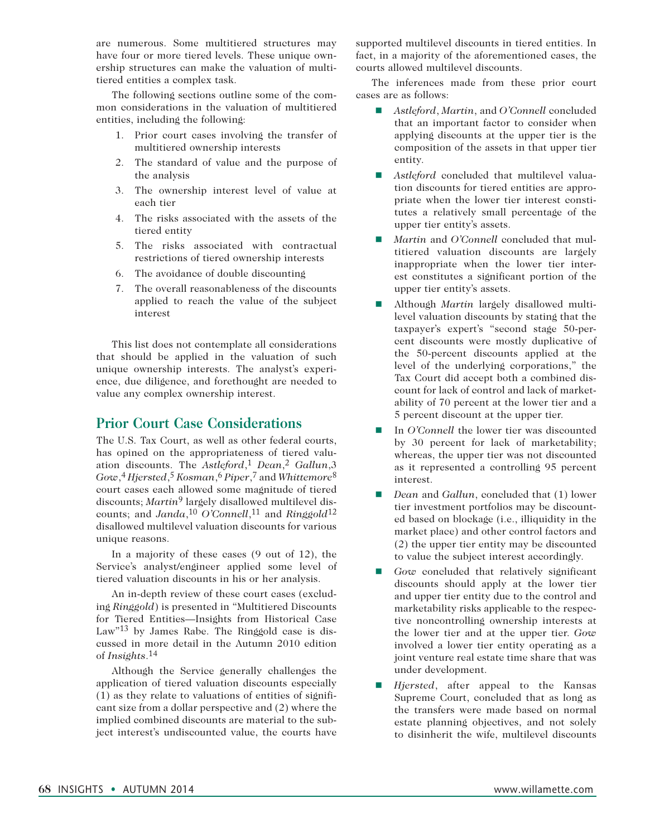are numerous. Some multitiered structures may have four or more tiered levels. These unique ownership structures can make the valuation of multitiered entities a complex task.

The following sections outline some of the common considerations in the valuation of multitiered entities, including the following:

- 1. Prior court cases involving the transfer of multitiered ownership interests
- 2. The standard of value and the purpose of the analysis
- 3. The ownership interest level of value at each tier
- 4. The risks associated with the assets of the tiered entity
- 5. The risks associated with contractual restrictions of tiered ownership interests
- 6. The avoidance of double discounting
- 7. The overall reasonableness of the discounts applied to reach the value of the subject interest

This list does not contemplate all considerations that should be applied in the valuation of such unique ownership interests. The analyst's experience, due diligence, and forethought are needed to value any complex ownership interest.

#### **Prior Court Case Considerations**

The U.S. Tax Court, as well as other federal courts, has opined on the appropriateness of tiered valuation discounts. The *Astleford*,1 *Dean*,2 *Gallun*,3 *Gow*,4 *Hjersted*,5 *Kosman*,6 *Piper*,7 and *Whittemore*8 court cases each allowed some magnitude of tiered discounts; *Martin*9 largely disallowed multilevel discounts; and *Janda*,10 *O'Connell*,11 and *Ringgold*12 disallowed multilevel valuation discounts for various unique reasons.

In a majority of these cases (9 out of 12), the Service's analyst/engineer applied some level of tiered valuation discounts in his or her analysis.

An in-depth review of these court cases (excluding *Ringgold*) is presented in "Multitiered Discounts for Tiered Entities—Insights from Historical Case Law"<sup>13</sup> by James Rabe. The Ringgold case is discussed in more detail in the Autumn 2010 edition of *Insights*.14

Although the Service generally challenges the application of tiered valuation discounts especially (1) as they relate to valuations of entities of significant size from a dollar perspective and (2) where the implied combined discounts are material to the subject interest's undiscounted value, the courts have

supported multilevel discounts in tiered entities. In fact, in a majority of the aforementioned cases, the courts allowed multilevel discounts.

The inferences made from these prior court cases are as follows:

- *Astleford, Martin, and O'Connell* concluded that an important factor to consider when applying discounts at the upper tier is the composition of the assets in that upper tier entity.
- **n** *Astleford* concluded that multilevel valuation discounts for tiered entities are appropriate when the lower tier interest constitutes a relatively small percentage of the upper tier entity's assets.
- *Martin* and *O'Connell* concluded that multitiered valuation discounts are largely inappropriate when the lower tier interest constitutes a significant portion of the upper tier entity's assets.
- Although *Martin* largely disallowed multilevel valuation discounts by stating that the taxpayer's expert's "second stage 50-percent discounts were mostly duplicative of the 50-percent discounts applied at the level of the underlying corporations," the Tax Court did accept both a combined discount for lack of control and lack of marketability of 70 percent at the lower tier and a 5 percent discount at the upper tier.
- In *O'Connell* the lower tier was discounted by 30 percent for lack of marketability; whereas, the upper tier was not discounted as it represented a controlling 95 percent interest.
- *Dean* and *Gallun*, concluded that (1) lower tier investment portfolios may be discounted based on blockage (i.e., illiquidity in the market place) and other control factors and (2) the upper tier entity may be discounted to value the subject interest accordingly.
- *Gow* concluded that relatively significant discounts should apply at the lower tier and upper tier entity due to the control and marketability risks applicable to the respective noncontrolling ownership interests at the lower tier and at the upper tier. *Gow* involved a lower tier entity operating as a joint venture real estate time share that was under development.
- *Hjersted*, after appeal to the Kansas Supreme Court, concluded that as long as the transfers were made based on normal estate planning objectives, and not solely to disinherit the wife, multilevel discounts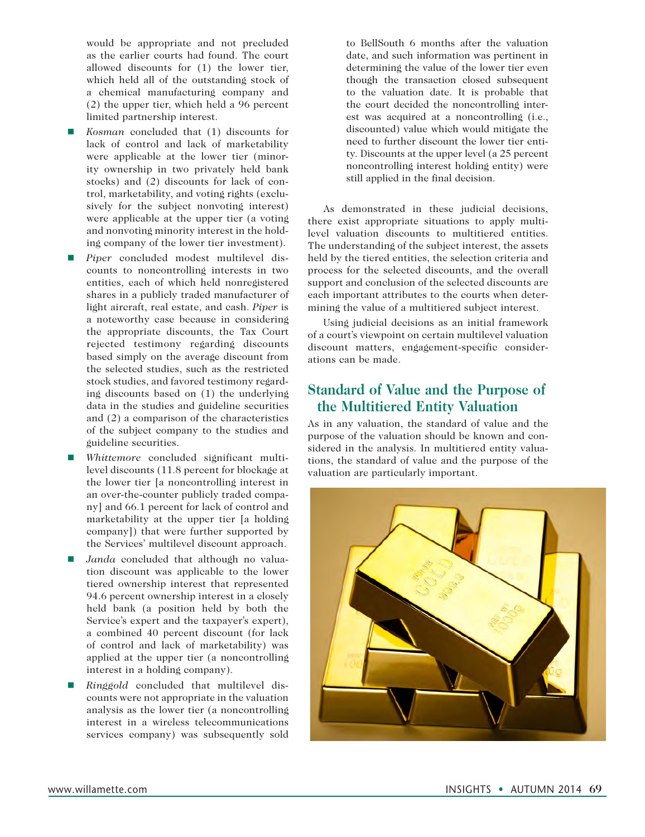would be appropriate and not precluded as the earlier courts had found. The court allowed discounts for (1) the lower tier, which held all of the outstanding stock of a chemical manufacturing company and (2) the upper tier, which held a 96 percent limited partnership interest.

- n *Kosman* concluded that (1) discounts for lack of control and lack of marketability were applicable at the lower tier (minority ownership in two privately held bank stocks) and (2) discounts for lack of control, marketability, and voting rights (exclusively for the subject nonvoting interest) were applicable at the upper tier (a voting and nonvoting minority interest in the holding company of the lower tier investment).
- n *Piper* concluded modest multilevel discounts to noncontrolling interests in two entities, each of which held nonregistered shares in a publicly traded manufacturer of light aircraft, real estate, and cash. *Piper* is a noteworthy case because in considering the appropriate discounts, the Tax Court rejected testimony regarding discounts based simply on the average discount from the selected studies, such as the restricted stock studies, and favored testimony regarding discounts based on (1) the underlying data in the studies and guideline securities and (2) a comparison of the characteristics of the subject company to the studies and guideline securities.
- n *Whittemore* concluded significant multilevel discounts (11.8 percent for blockage at the lower tier [a noncontrolling interest in an over-the-counter publicly traded company] and 66.1 percent for lack of control and marketability at the upper tier [a holding company]) that were further supported by the Services' multilevel discount approach.
- Janda concluded that although no valuation discount was applicable to the lower tiered ownership interest that represented 94.6 percent ownership interest in a closely held bank (a position held by both the Service's expert and the taxpayer's expert), a combined 40 percent discount (for lack of control and lack of marketability) was applied at the upper tier (a noncontrolling interest in a holding company).
- n *Ringgold* concluded that multilevel discounts were not appropriate in the valuation analysis as the lower tier (a noncontrolling interest in a wireless telecommunications services company) was subsequently sold

to BellSouth 6 months after the valuation date, and such information was pertinent in determining the value of the lower tier even though the transaction closed subsequent to the valuation date. It is probable that the court decided the noncontrolling interest was acquired at a noncontrolling (i.e., discounted) value which would mitigate the need to further discount the lower tier entity. Discounts at the upper level (a 25 percent noncontrolling interest holding entity) were still applied in the final decision.

As demonstrated in these judicial decisions, there exist appropriate situations to apply multilevel valuation discounts to multitiered entities. The understanding of the subject interest, the assets held by the tiered entities, the selection criteria and process for the selected discounts, and the overall support and conclusion of the selected discounts are each important attributes to the courts when determining the value of a multitiered subject interest.

Using judicial decisions as an initial framework of a court's viewpoint on certain multilevel valuation discount matters, engagement-specific considerations can be made.

# **Standard of Value and the Purpose of the Multitiered Entity Valuation**

As in any valuation, the standard of value and the purpose of the valuation should be known and considered in the analysis. In multitiered entity valuations, the standard of value and the purpose of the valuation are particularly important.

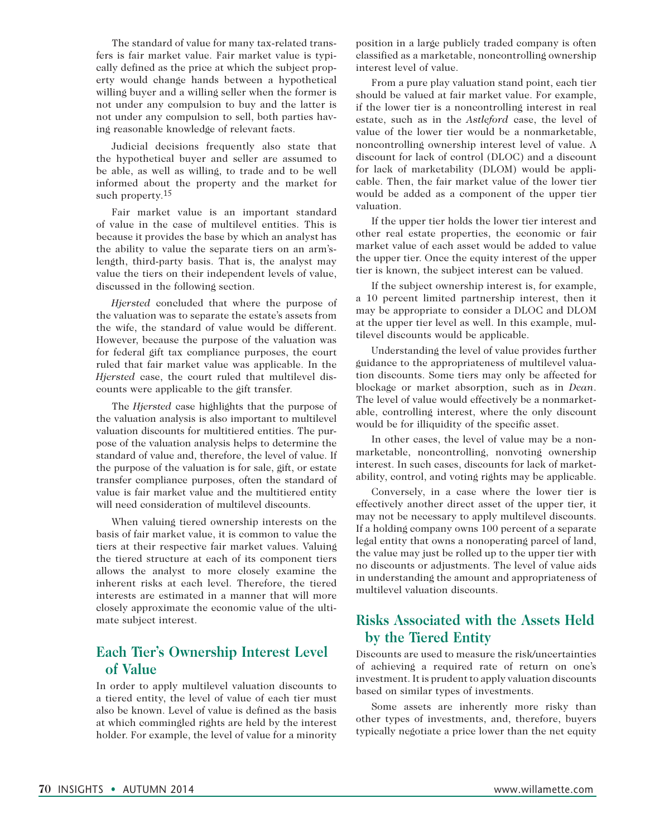The standard of value for many tax-related transfers is fair market value. Fair market value is typically defined as the price at which the subject property would change hands between a hypothetical willing buyer and a willing seller when the former is not under any compulsion to buy and the latter is not under any compulsion to sell, both parties having reasonable knowledge of relevant facts.

Judicial decisions frequently also state that the hypothetical buyer and seller are assumed to be able, as well as willing, to trade and to be well informed about the property and the market for such property.<sup>15</sup>

Fair market value is an important standard of value in the case of multilevel entities. This is because it provides the base by which an analyst has the ability to value the separate tiers on an arm'slength, third-party basis. That is, the analyst may value the tiers on their independent levels of value, discussed in the following section.

*Hjersted* concluded that where the purpose of the valuation was to separate the estate's assets from the wife, the standard of value would be different. However, because the purpose of the valuation was for federal gift tax compliance purposes, the court ruled that fair market value was applicable. In the *Hjersted* case, the court ruled that multilevel discounts were applicable to the gift transfer.

The *Hjersted* case highlights that the purpose of the valuation analysis is also important to multilevel valuation discounts for multitiered entities. The purpose of the valuation analysis helps to determine the standard of value and, therefore, the level of value. If the purpose of the valuation is for sale, gift, or estate transfer compliance purposes, often the standard of value is fair market value and the multitiered entity will need consideration of multilevel discounts.

When valuing tiered ownership interests on the basis of fair market value, it is common to value the tiers at their respective fair market values. Valuing the tiered structure at each of its component tiers allows the analyst to more closely examine the inherent risks at each level. Therefore, the tiered interests are estimated in a manner that will more closely approximate the economic value of the ultimate subject interest.

## **Each Tier's Ownership Interest Level of Value**

In order to apply multilevel valuation discounts to a tiered entity, the level of value of each tier must also be known. Level of value is defined as the basis at which commingled rights are held by the interest holder. For example, the level of value for a minority position in a large publicly traded company is often classified as a marketable, noncontrolling ownership interest level of value.

From a pure play valuation stand point, each tier should be valued at fair market value. For example, if the lower tier is a noncontrolling interest in real estate, such as in the *Astleford* case, the level of value of the lower tier would be a nonmarketable, noncontrolling ownership interest level of value. A discount for lack of control (DLOC) and a discount for lack of marketability (DLOM) would be applicable. Then, the fair market value of the lower tier would be added as a component of the upper tier valuation.

If the upper tier holds the lower tier interest and other real estate properties, the economic or fair market value of each asset would be added to value the upper tier. Once the equity interest of the upper tier is known, the subject interest can be valued.

If the subject ownership interest is, for example, a 10 percent limited partnership interest, then it may be appropriate to consider a DLOC and DLOM at the upper tier level as well. In this example, multilevel discounts would be applicable.

Understanding the level of value provides further guidance to the appropriateness of multilevel valuation discounts. Some tiers may only be affected for blockage or market absorption, such as in *Dean*. The level of value would effectively be a nonmarketable, controlling interest, where the only discount would be for illiquidity of the specific asset.

In other cases, the level of value may be a nonmarketable, noncontrolling, nonvoting ownership interest. In such cases, discounts for lack of marketability, control, and voting rights may be applicable.

Conversely, in a case where the lower tier is effectively another direct asset of the upper tier, it may not be necessary to apply multilevel discounts. If a holding company owns 100 percent of a separate legal entity that owns a nonoperating parcel of land, the value may just be rolled up to the upper tier with no discounts or adjustments. The level of value aids in understanding the amount and appropriateness of multilevel valuation discounts.

## **Risks Associated with the Assets Held by the Tiered Entity**

Discounts are used to measure the risk/uncertainties of achieving a required rate of return on one's investment. It is prudent to apply valuation discounts based on similar types of investments.

Some assets are inherently more risky than other types of investments, and, therefore, buyers typically negotiate a price lower than the net equity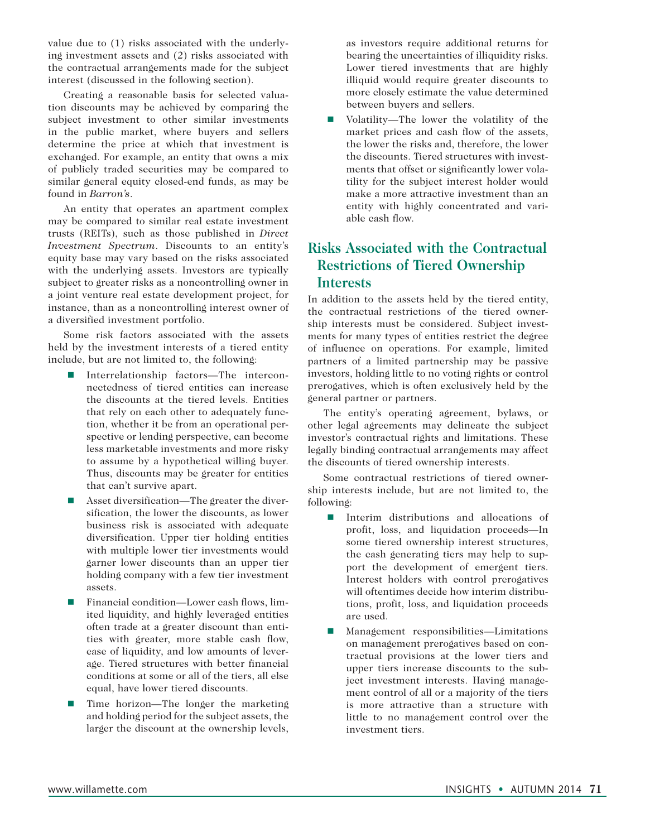value due to (1) risks associated with the underlying investment assets and (2) risks associated with the contractual arrangements made for the subject interest (discussed in the following section).

Creating a reasonable basis for selected valuation discounts may be achieved by comparing the subject investment to other similar investments in the public market, where buyers and sellers determine the price at which that investment is exchanged. For example, an entity that owns a mix of publicly traded securities may be compared to similar general equity closed-end funds, as may be found in *Barron's*.

An entity that operates an apartment complex may be compared to similar real estate investment trusts (REITs), such as those published in *Direct Investment Spectrum*. Discounts to an entity's equity base may vary based on the risks associated with the underlying assets. Investors are typically subject to greater risks as a noncontrolling owner in a joint venture real estate development project, for instance, than as a noncontrolling interest owner of a diversified investment portfolio.

Some risk factors associated with the assets held by the investment interests of a tiered entity include, but are not limited to, the following:

- Interrelationship factors—The interconnectedness of tiered entities can increase the discounts at the tiered levels. Entities that rely on each other to adequately function, whether it be from an operational perspective or lending perspective, can become less marketable investments and more risky to assume by a hypothetical willing buyer. Thus, discounts may be greater for entities that can't survive apart.
- Asset diversification—The greater the diversification, the lower the discounts, as lower business risk is associated with adequate diversification. Upper tier holding entities with multiple lower tier investments would garner lower discounts than an upper tier holding company with a few tier investment assets.
- Financial condition—Lower cash flows, limited liquidity, and highly leveraged entities often trade at a greater discount than entities with greater, more stable cash flow, ease of liquidity, and low amounts of leverage. Tiered structures with better financial conditions at some or all of the tiers, all else equal, have lower tiered discounts.
- Time horizon—The longer the marketing and holding period for the subject assets, the larger the discount at the ownership levels,

as investors require additional returns for bearing the uncertainties of illiquidity risks. Lower tiered investments that are highly illiquid would require greater discounts to more closely estimate the value determined between buyers and sellers.

Volatility—The lower the volatility of the market prices and cash flow of the assets, the lower the risks and, therefore, the lower the discounts. Tiered structures with investments that offset or significantly lower volatility for the subject interest holder would make a more attractive investment than an entity with highly concentrated and variable cash flow.

#### **Risks Associated with the Contractual Restrictions of Tiered Ownership Interests**

In addition to the assets held by the tiered entity, the contractual restrictions of the tiered ownership interests must be considered. Subject investments for many types of entities restrict the degree of influence on operations. For example, limited partners of a limited partnership may be passive investors, holding little to no voting rights or control prerogatives, which is often exclusively held by the general partner or partners.

The entity's operating agreement, bylaws, or other legal agreements may delineate the subject investor's contractual rights and limitations. These legally binding contractual arrangements may affect the discounts of tiered ownership interests.

Some contractual restrictions of tiered ownership interests include, but are not limited to, the following:

- $\blacksquare$  Interim distributions and allocations of profit, loss, and liquidation proceeds—In some tiered ownership interest structures, the cash generating tiers may help to support the development of emergent tiers. Interest holders with control prerogatives will oftentimes decide how interim distributions, profit, loss, and liquidation proceeds are used.
- Management responsibilities—Limitations on management prerogatives based on contractual provisions at the lower tiers and upper tiers increase discounts to the subject investment interests. Having management control of all or a majority of the tiers is more attractive than a structure with little to no management control over the investment tiers.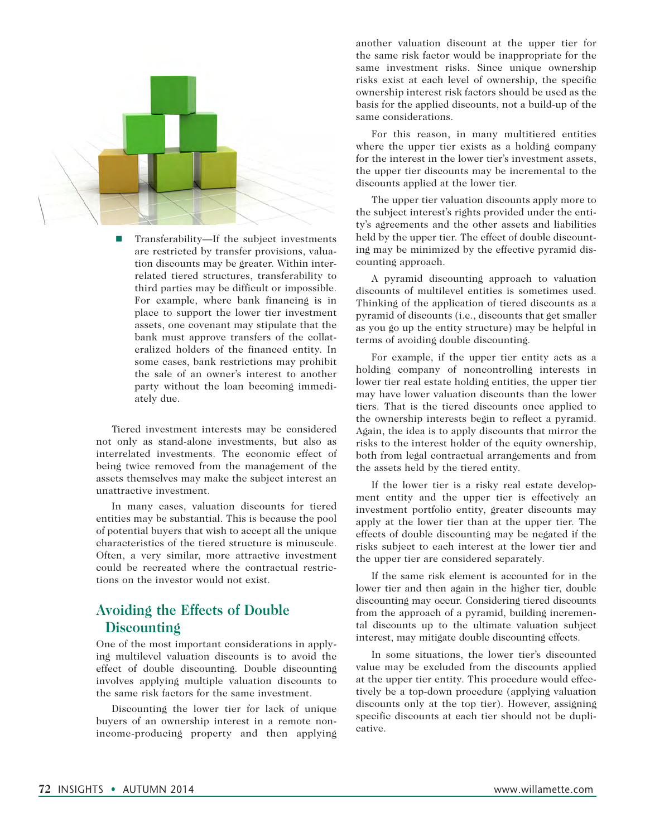

■ Transferability—If the subject investments are restricted by transfer provisions, valuation discounts may be greater. Within interrelated tiered structures, transferability to third parties may be difficult or impossible. For example, where bank financing is in place to support the lower tier investment assets, one covenant may stipulate that the bank must approve transfers of the collateralized holders of the financed entity. In some cases, bank restrictions may prohibit the sale of an owner's interest to another party without the loan becoming immediately due.

Tiered investment interests may be considered not only as stand-alone investments, but also as interrelated investments. The economic effect of being twice removed from the management of the assets themselves may make the subject interest an unattractive investment.

In many cases, valuation discounts for tiered entities may be substantial. This is because the pool of potential buyers that wish to accept all the unique characteristics of the tiered structure is minuscule. Often, a very similar, more attractive investment could be recreated where the contractual restrictions on the investor would not exist.

#### **Avoiding the Effects of Double Discounting**

One of the most important considerations in applying multilevel valuation discounts is to avoid the effect of double discounting. Double discounting involves applying multiple valuation discounts to the same risk factors for the same investment.

Discounting the lower tier for lack of unique buyers of an ownership interest in a remote nonincome-producing property and then applying another valuation discount at the upper tier for the same risk factor would be inappropriate for the same investment risks. Since unique ownership risks exist at each level of ownership, the specific ownership interest risk factors should be used as the basis for the applied discounts, not a build-up of the same considerations.

For this reason, in many multitiered entities where the upper tier exists as a holding company for the interest in the lower tier's investment assets, the upper tier discounts may be incremental to the discounts applied at the lower tier.

The upper tier valuation discounts apply more to the subject interest's rights provided under the entity's agreements and the other assets and liabilities held by the upper tier. The effect of double discounting may be minimized by the effective pyramid discounting approach.

A pyramid discounting approach to valuation discounts of multilevel entities is sometimes used. Thinking of the application of tiered discounts as a pyramid of discounts (i.e., discounts that get smaller as you go up the entity structure) may be helpful in terms of avoiding double discounting.

For example, if the upper tier entity acts as a holding company of noncontrolling interests in lower tier real estate holding entities, the upper tier may have lower valuation discounts than the lower tiers. That is the tiered discounts once applied to the ownership interests begin to reflect a pyramid. Again, the idea is to apply discounts that mirror the risks to the interest holder of the equity ownership, both from legal contractual arrangements and from the assets held by the tiered entity.

If the lower tier is a risky real estate development entity and the upper tier is effectively an investment portfolio entity, greater discounts may apply at the lower tier than at the upper tier. The effects of double discounting may be negated if the risks subject to each interest at the lower tier and the upper tier are considered separately.

If the same risk element is accounted for in the lower tier and then again in the higher tier, double discounting may occur. Considering tiered discounts from the approach of a pyramid, building incremental discounts up to the ultimate valuation subject interest, may mitigate double discounting effects.

In some situations, the lower tier's discounted value may be excluded from the discounts applied at the upper tier entity. This procedure would effectively be a top-down procedure (applying valuation discounts only at the top tier). However, assigning specific discounts at each tier should not be duplicative.